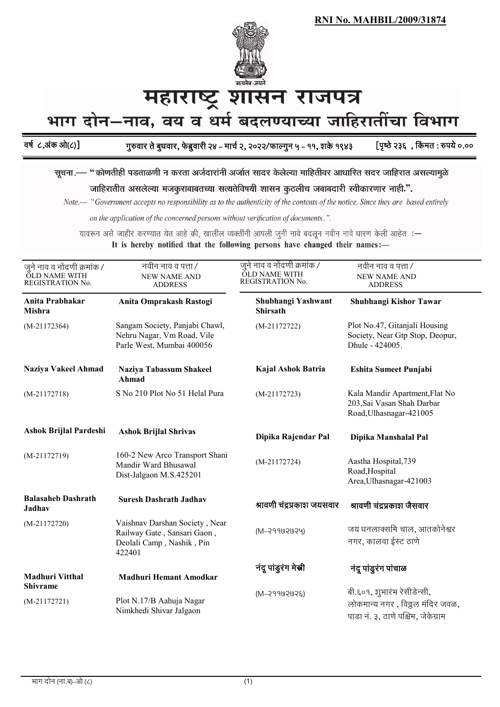

## महाराष्ट्र शासन राजपत्र

भाग दोन–नाव, वय व धर्म बदलण्याच्या जाहिरातींचा विभाग

वर्ष ८,अक आ(८)। गुरुवार ते बुधवार, फेब्रुवारी २४ – मार्च २, २०२२/फाल्गुन ५ – ११, शके १९४३ [पृष्ठे २३६ , किमत : रुपये ०.००

सूचना.— "कोणतीही पडताळणी न करता अर्जदारांनी अर्जात सादर केलेल्या माहितीवर आधारित सदर जाहिरात असल्यामुळे

जाहिरातीत असलेल्या मजकुराबाबतच्या सत्यतेविषयी शासन कुठलीच जबाबदारी स्वीकारणार नाही.".

Note.— "Government accepts no responsibility as to the authenticity of the contents of the notice. Since they are based entirely

on the application of the concerned persons without verification of documents.".

यावरून असे जाहीर करण्यात येत आहे की, खालील व्यक्तींनी आपली जुनी नावे बदलून नवीन नावे धारण केली आहेत :—

It is hereby notified that the following persons have changed their names:-

| जुने नाव व नोंदणी क्रमांक /<br><b>OLD NAME WITH</b><br>REGISTRATION No. | नवीन नाव व पत्ता /<br><b>NEW NAME AND</b><br><b>ADDRESS</b>                                          | जुने नाव व नोंदणी क्रमांक /<br><b>OLD NAME WITH</b><br>REGISTRATION No. | नवीन नाव व पत्ता /<br><b>NEW NAME AND</b><br><b>ADDRESS</b>                                          |
|-------------------------------------------------------------------------|------------------------------------------------------------------------------------------------------|-------------------------------------------------------------------------|------------------------------------------------------------------------------------------------------|
| Anita Prabhakar<br>Mishra                                               | Anita Omprakash Rastogi                                                                              | Shubhangi Yashwant<br><b>Shirsath</b>                                   | Shubhangi Kishor Tawar                                                                               |
| $(M-21172364)$                                                          | Sangam Society, Panjabi Chawl,<br>Nehru Nagar, Vm Road, Vile<br>Parle West, Mumbai 400056            | $(M-21172722)$                                                          | Plot No.47, Gitanjali Housing<br>Society, Near Gtp Stop, Deopur,<br>Dhule - 424005.                  |
| <b>Naziya Vakeel Ahmad</b>                                              | Naziya Tabassum Shakeel<br>Ahmad                                                                     | Kajal Ashok Batria                                                      | <b>Eshita Sumeet Punjabi</b>                                                                         |
| $(M-21172718)$                                                          | S No 210 Plot No 51 Helal Pura                                                                       | $(M-21172723)$                                                          | Kala Mandir Apartment, Flat No<br>203, Sai Vasan Shah Darbar<br>Road, Ulhasnagar-421005              |
| Ashok Brijlal Pardeshi                                                  | <b>Ashok Brijlal Shrivas</b>                                                                         | Dipika Rajendar Pal                                                     | Dipika Manshalal Pal                                                                                 |
| $(M-21172719)$                                                          | 160-2 New Arco Transport Shani<br>Mandir Ward Bhusawal<br>Dist-Jalgaon M.S.425201                    | $(M-21172724)$                                                          | Aastha Hospital, 739<br>Road, Hospital<br>Area, Ulhasnagar-421003                                    |
| <b>Balasaheb Dashrath</b><br>Jadhav                                     | <b>Suresh Dashrath Jadhav</b>                                                                        | श्रावणी चंद्रप्रकाश जयसवार                                              | श्रावणी चंद्रप्रकाश जैसवार                                                                           |
| $(M-21172720)$                                                          | Vaishnav Darshan Society, Near<br>Railway Gate, Sansari Gaon,<br>Deolali Camp, Nashik, Pin<br>422401 | $(M-29902029)$                                                          | जय धनलाक्समि चाल, आतकोनेश्वर<br>नगर, कालवा ईस्ट ठाणे                                                 |
| <b>Madhuri Vitthal</b>                                                  | <b>Madhuri Hemant Amodkar</b>                                                                        | नंदू पांडुरंग मेस्री                                                    | नंदू पांडुरंग पांचाळ                                                                                 |
| <b>Shivrame</b><br>$(M-21172721)$                                       | Plot N.17/B Aahuja Nagar<br>Nimkhedi Shivar Jalgaon                                                  | $(M-29909992)$                                                          | बी.६०१, शुभारंभ रेसीडेन्सी,<br>लोकमान्य नगर, विठ्ठल मंदिर जवळ,<br>पाडा नं. ३, ठाणे पश्चिम, जेकेग्राम |